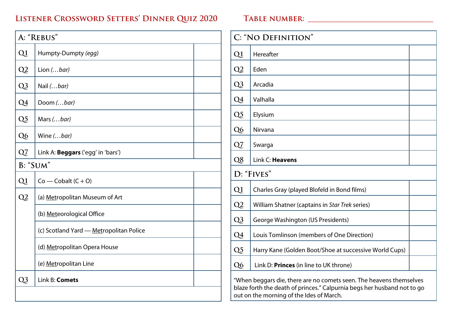## **Listener Crossword Setters' Dinner Quiz 2020 Table number: \_\_\_\_\_\_\_\_\_\_\_\_\_\_\_\_\_\_\_\_\_\_\_\_\_\_\_\_\_\_\_\_\_**

## **A: "Rebus" Q1** Humpty-Dumpty *(egg)* **Q2** Lion *(…bar)* **Q3** Nail *(…bar)* **Q4** Doom *(…bar)* **Q5** Mars*(…bar)* **Q6** Wine *(…bar)* **Q7** Link A: **Beggars** ('egg' in 'bars') **B: "Sum"**  $Q1$   $Co$  — Cobalt  $(C + O)$ **Q2** (a) Metropolitan Museum of Art (b) Meteorological Office (c) Scotland Yard — Metropolitan Police (d) Metropolitan Opera House (e) Metropolitan Line **Q3** Link B: **Comets**

| C: "NO DEFINITION"                                                     |                                                        |  |
|------------------------------------------------------------------------|--------------------------------------------------------|--|
| Q1                                                                     | Hereafter                                              |  |
| Q <sub>2</sub>                                                         | Eden                                                   |  |
| Q3                                                                     | Arcadia                                                |  |
| Q4                                                                     | Valhalla                                               |  |
| Q <sub>5</sub>                                                         | Elysium                                                |  |
| Q <sub>6</sub>                                                         | Nirvana                                                |  |
| Q7                                                                     | Swarga                                                 |  |
| Q8                                                                     | Link C: Heavens                                        |  |
| D: "FIVES"                                                             |                                                        |  |
| Q1                                                                     | Charles Gray (played Blofeld in Bond films)            |  |
| Q2                                                                     | William Shatner (captains in Star Trek series)         |  |
| $Q_3$                                                                  | George Washington (US Presidents)                      |  |
| Q4                                                                     | Louis Tomlinson (members of One Direction)             |  |
| Q <sub>5</sub>                                                         | Harry Kane (Golden Boot/Shoe at successive World Cups) |  |
| Q <sub>6</sub>                                                         | Link D: Princes (in line to UK throne)                 |  |
| "Male an loggare dia those are no comeste seen. The heavenesthemeshype |                                                        |  |

"When beggars die, there are no comets seen. The heavens themselves blaze forth the death of princes." Calpurnia begs her husband not to go out on the morning of the Ides of March.